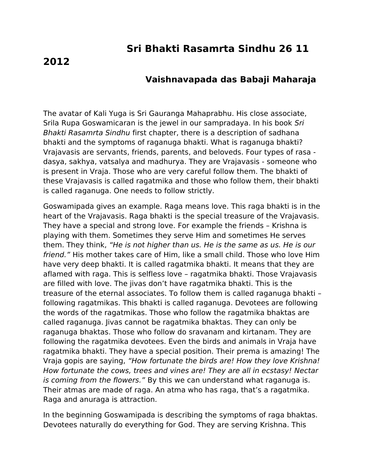## **Sri Bhakti Rasamrta Sindhu 26 11**

## **2012**

## **Vaishnavapada das Babaji Maharaja**

The avatar of Kali Yuga is Sri Gauranga Mahaprabhu. His close associate, Srila Rupa Goswamicaran is the jewel in our sampradaya. In his book Sri Bhakti Rasamrta Sindhu first chapter, there is a description of sadhana bhakti and the symptoms of raganuga bhakti. What is raganuga bhakti? Vrajavasis are servants, friends, parents, and beloveds. Four types of rasa dasya, sakhya, vatsalya and madhurya. They are Vrajavasis - someone who is present in Vraja. Those who are very careful follow them. The bhakti of these Vrajavasis is called ragatmika and those who follow them, their bhakti is called raganuga. One needs to follow strictly.

Goswamipada gives an example. Raga means love. This raga bhakti is in the heart of the Vrajavasis. Raga bhakti is the special treasure of the Vrajavasis. They have a special and strong love. For example the friends – Krishna is playing with them. Sometimes they serve Him and sometimes He serves them. They think, "He is not higher than us. He is the same as us. He is our friend." His mother takes care of Him, like a small child. Those who love Him have very deep bhakti. It is called ragatmika bhakti. It means that they are aflamed with raga. This is selfless love – ragatmika bhakti. Those Vrajavasis are filled with love. The jivas don't have ragatmika bhakti. This is the treasure of the eternal associates. To follow them is called raganuga bhakti – following ragatmikas. This bhakti is called raganuga. Devotees are following the words of the ragatmikas. Those who follow the ragatmika bhaktas are called raganuga. Jivas cannot be ragatmika bhaktas. They can only be raganuga bhaktas. Those who follow do sravanam and kirtanam. They are following the ragatmika devotees. Even the birds and animals in Vraja have ragatmika bhakti. They have a special position. Their prema is amazing! The Vraja gopis are saying, "How fortunate the birds are! How they love Krishna! How fortunate the cows, trees and vines are! They are all in ecstasy! Nectar is coming from the flowers." By this we can understand what raganuga is. Their atmas are made of raga. An atma who has raga, that's a ragatmika. Raga and anuraga is attraction.

In the beginning Goswamipada is describing the symptoms of raga bhaktas. Devotees naturally do everything for God. They are serving Krishna. This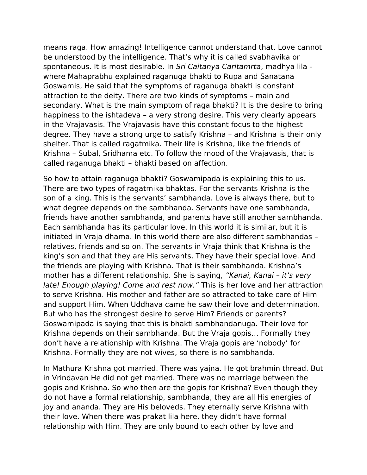means raga. How amazing! Intelligence cannot understand that. Love cannot be understood by the intelligence. That's why it is called svabhavika or spontaneous. It is most desirable. In Sri Caitanya Caritamrta, madhya lila where Mahaprabhu explained raganuga bhakti to Rupa and Sanatana Goswamis, He said that the symptoms of raganuga bhakti is constant attraction to the deity. There are two kinds of symptoms – main and secondary. What is the main symptom of raga bhakti? It is the desire to bring happiness to the ishtadeva – a very strong desire. This very clearly appears in the Vrajavasis. The Vrajavasis have this constant focus to the highest degree. They have a strong urge to satisfy Krishna – and Krishna is their only shelter. That is called ragatmika. Their life is Krishna, like the friends of Krishna – Subal, Sridhama etc. To follow the mood of the Vrajavasis, that is called raganuga bhakti – bhakti based on affection.

So how to attain raganuga bhakti? Goswamipada is explaining this to us. There are two types of ragatmika bhaktas. For the servants Krishna is the son of a king. This is the servants' sambhanda. Love is always there, but to what degree depends on the sambhanda. Servants have one sambhanda, friends have another sambhanda, and parents have still another sambhanda. Each sambhanda has its particular love. In this world it is similar, but it is initiated in Vraja dhama. In this world there are also different sambhandas – relatives, friends and so on. The servants in Vraja think that Krishna is the king's son and that they are His servants. They have their special love. And the friends are playing with Krishna. That is their sambhanda. Krishna's mother has a different relationship. She is saying, "Kanai, Kanai - it's very late! Enough playing! Come and rest now." This is her love and her attraction to serve Krishna. His mother and father are so attracted to take care of Him and support Him. When Uddhava came he saw their love and determination. But who has the strongest desire to serve Him? Friends or parents? Goswamipada is saying that this is bhakti sambhandanuga. Their love for Krishna depends on their sambhanda. But the Vraja gopis… Formally they don't have a relationship with Krishna. The Vraja gopis are 'nobody' for Krishna. Formally they are not wives, so there is no sambhanda.

In Mathura Krishna got married. There was yajna. He got brahmin thread. But in Vrindavan He did not get married. There was no marriage between the gopis and Krishna. So who then are the gopis for Krishna? Even though they do not have a formal relationship, sambhanda, they are all His energies of joy and ananda. They are His beloveds. They eternally serve Krishna with their love. When there was prakat lila here, they didn't have formal relationship with Him. They are only bound to each other by love and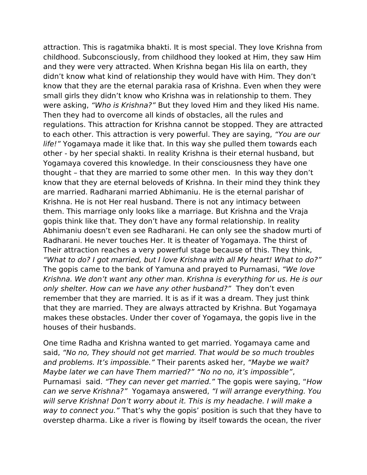attraction. This is ragatmika bhakti. It is most special. They love Krishna from childhood. Subconsciously, from childhood they looked at Him, they saw Him and they were very attracted. When Krishna began His lila on earth, they didn't know what kind of relationship they would have with Him. They don't know that they are the eternal parakia rasa of Krishna. Even when they were small girls they didn't know who Krishna was in relationship to them. They were asking, "Who is Krishna?" But they loved Him and they liked His name. Then they had to overcome all kinds of obstacles, all the rules and regulations. This attraction for Krishna cannot be stopped. They are attracted to each other. This attraction is very powerful. They are saying, "You are our life!" Yogamaya made it like that. In this way she pulled them towards each other - by her special shakti. In reality Krishna is their eternal husband, but Yogamaya covered this knowledge. In their consciousness they have one thought – that they are married to some other men. In this way they don't know that they are eternal beloveds of Krishna. In their mind they think they are married. Radharani married Abhimaniu. He is the eternal parishar of Krishna. He is not Her real husband. There is not any intimacy between them. This marriage only looks like a marriage. But Krishna and the Vraja gopis think like that. They don't have any formal relationship. In reality Abhimaniu doesn't even see Radharani. He can only see the shadow murti of Radharani. He never touches Her. It is theater of Yogamaya. The thirst of Their attraction reaches a very powerful stage because of this. They think, "What to do? I got married, but I love Krishna with all My heart! What to do?" The gopis came to the bank of Yamuna and prayed to Purnamasi, "We love Krishna. We don't want any other man. Krishna is everything for us. He is our only shelter. How can we have any other husband?" They don't even remember that they are married. It is as if it was a dream. They just think that they are married. They are always attracted by Krishna. But Yogamaya makes these obstacles. Under ther cover of Yogamaya, the gopis live in the houses of their husbands.

One time Radha and Krishna wanted to get married. Yogamaya came and said, "No no, They should not get married. That would be so much troubles and problems. It's impossible." Their parents asked her, "Maybe we wait? Maybe later we can have Them married?" "No no no, it's impossible", Purnamasi said. "They can never get married." The gopis were saying, "How can we serve Krishna?" Yogamaya answered, "I will arrange everything. You will serve Krishna! Don't worry about it. This is my headache. I will make a way to connect you." That's why the gopis' position is such that they have to overstep dharma. Like a river is flowing by itself towards the ocean, the river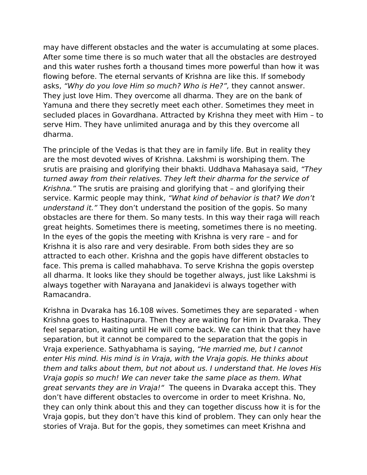may have different obstacles and the water is accumulating at some places. After some time there is so much water that all the obstacles are destroyed and this water rushes forth a thousand times more powerful than how it was flowing before. The eternal servants of Krishna are like this. If somebody asks, "Why do you love Him so much? Who is He?", they cannot answer. They just love Him. They overcome all dharma. They are on the bank of Yamuna and there they secretly meet each other. Sometimes they meet in secluded places in Govardhana. Attracted by Krishna they meet with Him – to serve Him. They have unlimited anuraga and by this they overcome all dharma.

The principle of the Vedas is that they are in family life. But in reality they are the most devoted wives of Krishna. Lakshmi is worshiping them. The srutis are praising and glorifying their bhakti. Uddhava Mahasaya said, "They turned away from their relatives. They left their dharma for the service of Krishna." The srutis are praising and glorifying that – and glorifying their service. Karmic people may think, "What kind of behavior is that? We don't understand it." They don't understand the position of the gopis. So many obstacles are there for them. So many tests. In this way their raga will reach great heights. Sometimes there is meeting, sometimes there is no meeting. In the eyes of the gopis the meeting with Krishna is very rare – and for Krishna it is also rare and very desirable. From both sides they are so attracted to each other. Krishna and the gopis have different obstacles to face. This prema is called mahabhava. To serve Krishna the gopis overstep all dharma. It looks like they should be together always, just like Lakshmi is always together with Narayana and Janakidevi is always together with Ramacandra.

Krishna in Dvaraka has 16.108 wives. Sometimes they are separated - when Krishna goes to Hastinapura. Then they are waiting for Him in Dvaraka. They feel separation, waiting until He will come back. We can think that they have separation, but it cannot be compared to the separation that the gopis in Vraja experience. Sathyabhama is saying, "He married me, but I cannot enter His mind. His mind is in Vraja, with the Vraja gopis. He thinks about them and talks about them, but not about us. I understand that. He loves His Vraja gopis so much! We can never take the same place as them. What great servants they are in Vraja!" The queens in Dvaraka accept this. They don't have different obstacles to overcome in order to meet Krishna. No, they can only think about this and they can together discuss how it is for the Vraja gopis, but they don't have this kind of problem. They can only hear the stories of Vraja. But for the gopis, they sometimes can meet Krishna and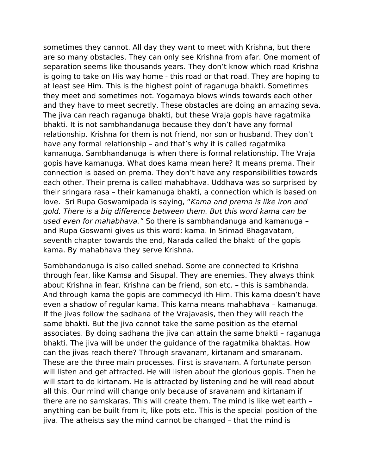sometimes they cannot. All day they want to meet with Krishna, but there are so many obstacles. They can only see Krishna from afar. One moment of separation seems like thousands years. They don't know which road Krishna is going to take on His way home - this road or that road. They are hoping to at least see Him. This is the highest point of raganuga bhakti. Sometimes they meet and sometimes not. Yogamaya blows winds towards each other and they have to meet secretly. These obstacles are doing an amazing seva. The jiva can reach raganuga bhakti, but these Vraja gopis have ragatmika bhakti. It is not sambhandanuga because they don't have any formal relationship. Krishna for them is not friend, nor son or husband. They don't have any formal relationship – and that's why it is called ragatmika kamanuga. Sambhandanuga is when there is formal relationship. The Vraja gopis have kamanuga. What does kama mean here? It means prema. Their connection is based on prema. They don't have any responsibilities towards each other. Their prema is called mahabhava. Uddhava was so surprised by their sringara rasa – their kamanuga bhakti, a connection which is based on love. Sri Rupa Goswamipada is saying, "Kama and prema is like iron and gold. There is a big difference between them. But this word kama can be used even for mahabhava." So there is sambhandanuga and kamanuga – and Rupa Goswami gives us this word: kama. In Srimad Bhagavatam, seventh chapter towards the end, Narada called the bhakti of the gopis kama. By mahabhava they serve Krishna.

Sambhandanuga is also called snehad. Some are connected to Krishna through fear, like Kamsa and Sisupal. They are enemies. They always think about Krishna in fear. Krishna can be friend, son etc. – this is sambhanda. And through kama the gopis are commecyd ith Him. This kama doesn't have even a shadow of regular kama. This kama means mahabhava – kamanuga. If the jivas follow the sadhana of the Vrajavasis, then they will reach the same bhakti. But the jiva cannot take the same position as the eternal associates. By doing sadhana the jiva can attain the same bhakti – raganuga bhakti. The jiva will be under the guidance of the ragatmika bhaktas. How can the jivas reach there? Through sravanam, kirtanam and smaranam. These are the three main processes. First is sravanam. A fortunate person will listen and get attracted. He will listen about the glorious gopis. Then he will start to do kirtanam. He is attracted by listening and he will read about all this. Our mind will change only because of sravanam and kirtanam if there are no samskaras. This will create them. The mind is like wet earth – anything can be built from it, like pots etc. This is the special position of the jiva. The atheists say the mind cannot be changed – that the mind is